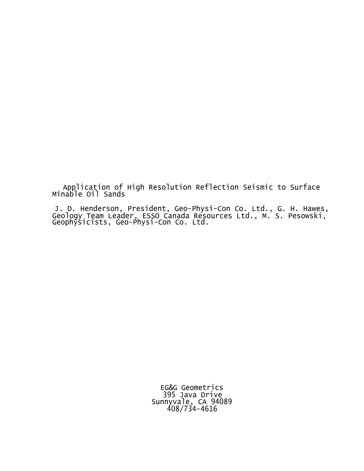Application of High Resolution Reflection Seismic to Surface Minable Oil Sands

J. D. Henderson, President, Geo-Physi-Con Co. Ltd., G. H. Hawes, Geology Team Leader, ESSO Canada Resources Ltd., M. S. Pesowski, Geophysicists, Geo-Physi-Con Co. Ltd.

> EG&G Geometrics 395 Java Drive Sunnyvale, CA 94089 408/734-4616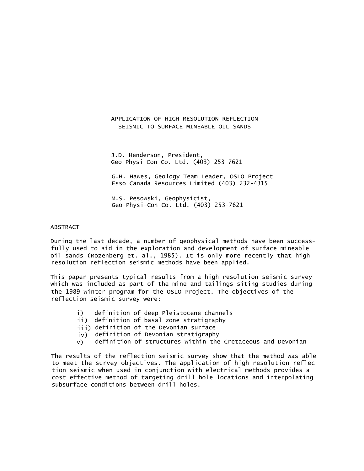# APPLICATION OF HIGH RESOLUTION REFLECTION SEISMIC TO SURFACE MINEABLE OIL SANDS

J.D. Henderson, President, Geo-Physi-Con Co. Ltd. (403) 253-7621

G.H. Hawes, Geology Team Leader, OSLO Project Esso Canada Resources Limited (403) 232-4315

M.S. Pesowski, Geophysicist, Geo-Physi-Con Co. Ltd. (403) 253-7621

## ABSTRACT

During the last decade, a number of geophysical methods have been successfully used to aid in the exploration and development of surface mineable oil sands (Rozenberg et. al., 1985). It is only more recently that high resolution reflection seismic methods have been applied.

This paper presents typical results from a high resolution seismic survey which was included as part of the mine and tailings siting studies during the 1989 winter program for the OSLO Project. The objectives of the reflection seismic survey were:

- i) definition of deep Pleistocene channels
- ii) definition of basal zone stratigraphy
- iii) definition of the Devonian surface
- iv) definition of Devonian stratigraphy
- $v$ ) definition of structures within the Cretaceous and Devonian

The results of the reflection seismic survey show that the method was able to meet the survey objectives. The application of high resolution reflection seismic when used in conjunction with electrical methods provides a cost effective method of targeting drill hole locations and interpolating subsurface conditions between drill holes.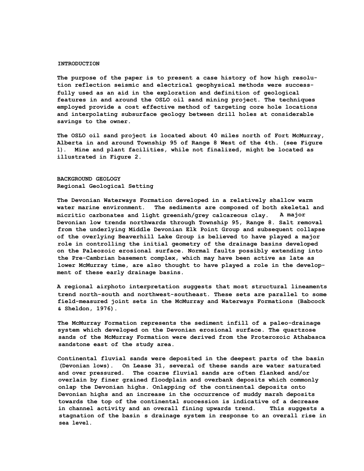#### **INTRODUCTION**

**The purpose of the paper is to present a case history of how high resolution reflection seismic and electrical geophysical methods were successfully used as an aid in the exploration and definition of geological features in and around the OSLO oil sand mining project. The techniques employed provide a cost effective method of targeting core hole locations and interpolating subsurface geology between drill holes at considerable savings to the owner.**

**The OSLO oil sand project is located about 40 miles north of Fort McMurray, Alberta in and around Township 95 of Range 8 West of the 4th. (see Figure 1). Mine and plant facilities, while not finalized, might be located as illustrated in Figure 2.**

**BACKGROUND GEOLOGY Regional Geological Setting**

**The Devonian Waterways Formation developed in a relatively shallow warm water marine environment. The sediments are composed of both skeletal and micritic carbonates and light greenish/grey calcareous clay. A major Devonian low trends northwards through Township 95, Range 8. Salt removal from the underlying Middle Devonian Elk Point Group and subsequent collapse of the overlying Beaverhill Lake Group is believed to have played a major role in controlling the initial geometry of the drainage basins developed on the Paleozoic erosional surface. Normal faults possibly extending into the Pre-Cambrian basement complex, which may have been active as late as lower McMurray time, are also thought to have played a role in the development of these early drainage basins.**

**A regional airphoto interpretation suggests that most structural lineaments trend north-south and northwest-southeast. These sets are parallel to some field-measured joint sets in the McMurray and Waterways Formations (Babcock & Sheldon, 1976).**

**The McMurray Formation represents the sediment infill of a paleo-drainage system which developed on the Devonian erosional surface. The quartzose sands of the McMurray Formation were derived from the Proterozoic Athabasca sandstone east of the study area.**

**Continental fluvial sands were deposited in the deepest parts of the basin (Devonian lows). On Lease 31, several of these sands are water saturated and over pressured. The coarse fluvial sands are often flanked and/or overlain by finer grained floodplain and overbank deposits which commonly onlap the Devonian highs. Onlapping of the continental deposits onto Devonian highs and an increase in the occurrence of muddy marsh deposits towards the top of the continental succession is indicative of a decrease in channel activity and an overall fining upwards trend. This suggests a stagnation of the basin ' s drainage system in response to an overall rise in sea level.**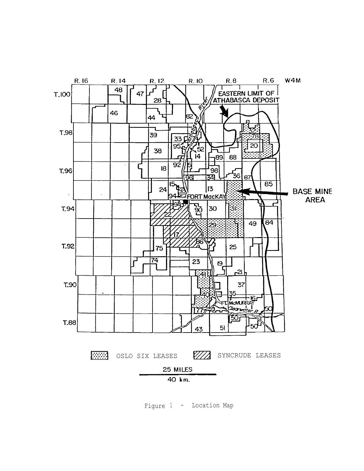

Figure <sup>1</sup> - Location Map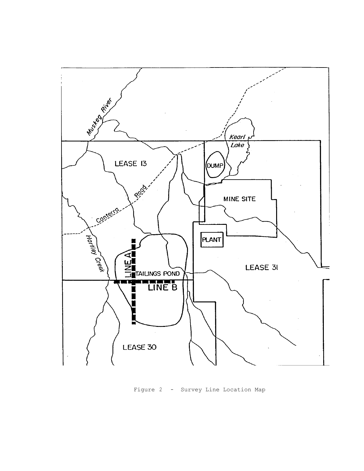

Figure 2 - Survey Line Location Map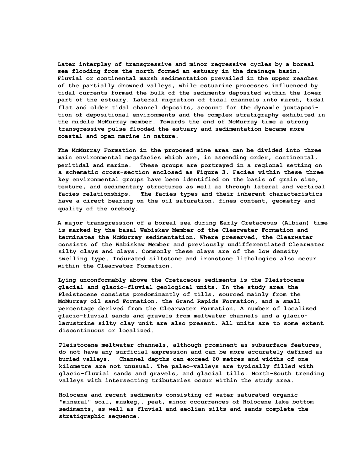**Later interplay of transgressive and minor regressive cycles by a boreal sea flooding from the north formed an estuary in the drainage basin. Fluvial or continental marsh sedimentation prevailed in the upper reaches of the partially drowned valleys, while estuarine processes influenced by tidal currents formed the bulk of the sediments deposited within the lower part of the estuary. Lateral migration of tidal channels into marsh, tidal flat and older tidal channel deposits, account for the dynamic juxtaposition of depositional environments and the complex stratigraphy exhibited in the middle McMurray member. Towards the end of McMurray time a strong transgressive pulse flooded the estuary and sedimentation became more coastal and open marine in nature.**

**The McMurray Formation in the proposed mine area can be divided into three main environmental megafacies which are, in ascending order, continental, peritidal and marine. These groups are portrayed in a regional setting on a schematic cross-section enclosed as Figure 3. Facies within these three key environmental groups have been identified on the basis of grain size, texture, and sedimentary structures as well as through lateral and vertical facies relationships. The facies types and their inherent characteristics have a direct bearing on the oil saturation, fines content, geometry and quality of the orebody.**

**A major transgression of a boreal sea during Early Cretaceous (Albian) time is marked by the basal Wabiskaw Member of the Clearwater Formation and terminates the McMurray sedimentation. Where preserved, the Clearwater consists of the Wabiskaw Member and previously undifferentiated Clearwater silty clays and clays. Commonly these clays are of the low density swelling type. Indurated siltstone and ironstone lithologies also occur within the Clearwater Formation.**

**Lying unconformably above the Cretaceous sediments is the Pleistocene glacial and glacio-fluvial geological units. In the study area the Pleistocene consists predominantly of tills, sourced mainly from the McMurray oil sand Formation, the Grand Rapids Formation, and a small percentage derived from the Clearwater Formation. A number of localized glacio-fluvial sands and gravels from meltwater channels and a glaciolacustrine silty clay unit are also present. All units are to some extent discontinuous or localized.**

**Pleistocene meltwater channels, although prominent as subsurface features, do not have any surficial expression and can be more accurately defined as buried valleys. Channel depths can exceed 60 metres and widths of one kilometre are not unusual. The paleo-valleys are typically filled with glacio-fluvial sands and gravels, and glacial tills. North-South trending valleys with intersecting tributaries occur within the study area.**

**Holocene and recent sediments consisting of water saturated organic "mineral" soil, muskeg,. peat, minor occurrences of Holocene lake bottom sediments, as well as fluvial and aeolian silts and sands complete the stratigraphic sequence.**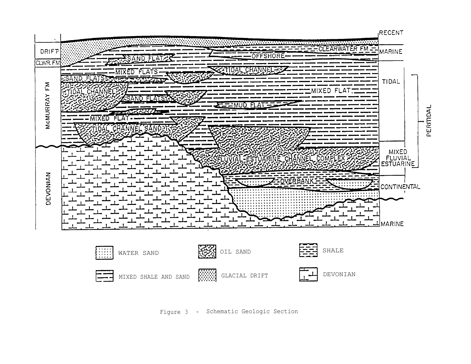

Figure 3 - Schematic Geologic Section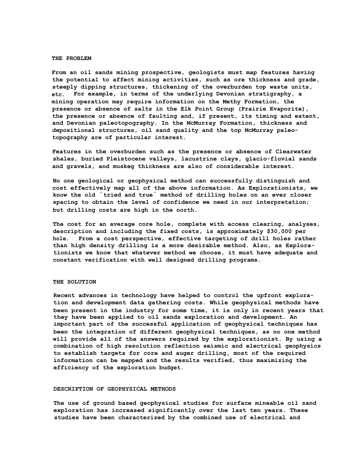### **THE PROBLEM**

**From an oil sands mining prospective, geologists must map features having the potential to affect mining activities, such as ore thickness and grade, steeply dipping structures, thickening of the overburden top waste units, etc. For example, in terms of the underlying Devonian stratigraphy, a mining operation may require information on the Methy Formation, the presence or absence of salts in the Elk Point Group (Prairie Evaporite), the presence or absence of faulting and, if present, its timing and extent, and Devonian paleotopography. In the McMurray Formation, thickness and depositional structures, oil sand quality and the top McMurray paleotopography are of particular interest.**

**Features in the overburden such as the presence or absence of Clearwater shales, buried Pleistocene valleys, lacustrine clays, glacio-fluvial sands and gravels, and muskeg thickness are also of considerable interest.**

**No one geological or geophysical method can successfully distinguish and cost effectively map all of the above information. As Explorationists, we know the old " tried and true " method of drilling holes on an ever closer spacing to obtain the level of confidence we need in our interpretation; but drilling costs are high in the north.**

**The cost for an average core hole, complete with access clearing, analyses, description and including the fixed costs, is approximately \$30,000 per hole. From a cost perspective, effective targeting of drill holes rather than high density drilling is a more desirable method. Also, as Explorationists we know that whatever method we choose, it must have adequate and constant verification with well designed drilling programs.**

#### **THE SOLUTION**

**Recent advances in technology have helped to control the upfront exploration and development data gathering costs. While geophysical methods have been present in the industry for some time, it is only in recent years that they have been applied to oil sands exploration and development. An important part of the successful application of geophysical techniques has been the integration of different geophysical techniques, as no one method will provide all of the answers required by the explorationist. By using a combination of high resolution reflection seismic and electrical geophysics to establish targets for core and auger drilling, most of the required information can be mapped and the results verified, thus maximizing the efficiency of the exploration budget.**

#### **DESCRIPTION OF GEOPHYSICAL METHODS**

**The use of ground based geophysical studies for surface mineable oil sand exploration has increased significantly over the last ten years. These studies have been characterized by the combined use of electrical and**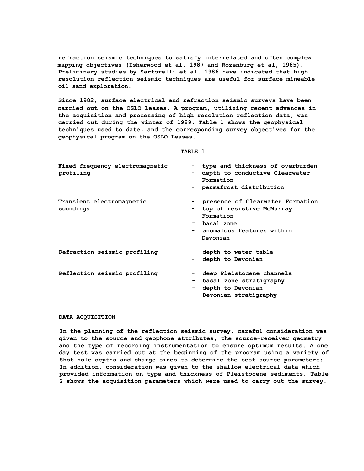**refraction seismic techniques to satisfy interrelated and often complex mapping objectives (Isherwood et al, 1987 and Rozenburg et al, 1985). Preliminary studies by Sartorelli et al, 1986 have indicated that high resolution reflection seismic techniques are useful for surface mineable oil sand exploration.**

**Since 1982, surface electrical and refraction seismic surveys have been carried out on the OSLO Leases. A program, utilizing recent advances in the acquisition and processing of high resolution reflection data, was carried out during the winter of 1989. Table 1 shows the geophysical techniques used to date, and the corresponding survey objectives for the geophysical program on the OSLO Leases.**

**TABLE 1**

| Fixed frequency electromagnetic<br>profiling | type and thickness of overburden<br>$ -$<br>depth to conductive Clearwater<br>۰.<br>Formation<br>- permafrost distribution          |
|----------------------------------------------|-------------------------------------------------------------------------------------------------------------------------------------|
| Transient electromagnetic<br>soundings       | presence of Clearwater Formation<br>top of resistive McMurray<br>Formation<br>- basal zone<br>anomalous features within<br>Devonian |
| Refraction seismic profiling                 | - depth to water table<br>depth to Devonian<br>۰.                                                                                   |
| Reflection seismic profiling                 | deep Pleistocene channels<br>basal zone stratigraphy<br>$ -$<br>depth to Devonian<br>Devonian stratigraphy<br>-                     |

### **DATA ACQUISITION**

**In the planning of the reflection seismic survey, careful consideration was given to the source and geophone attributes, the source-receiver geometry and the type of recording instrumentation to ensure optimum results. A one day test was carried out at the beginning of the program using a variety of Shot hole depths and charge sizes to determine the best source parameters: In addition, consideration was given to the shallow electrical data which provided information on type and thickness of Pleistocene sediments. Table 2 shows the acquisition parameters which were used to carry out the survey.**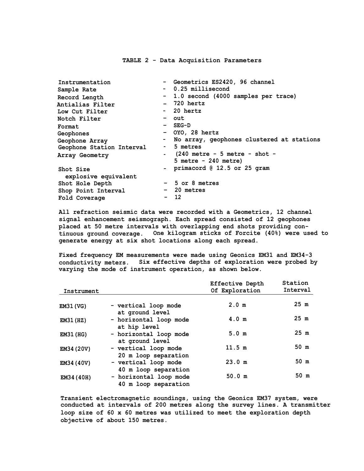#### **TABLE 2 - Data Acquisition Parameters**

| Instrumentation           | - Geometrics ES2420, 96 channel             |  |
|---------------------------|---------------------------------------------|--|
| Sample Rate               | - 0.25 millisecond                          |  |
| Record Length             | - 1.0 second (4000 samples per trace)       |  |
| Antialias Filter          | - 720 hertz                                 |  |
| Low Cut Filter            | - 20 hertz                                  |  |
| Notch Filter              | - out                                       |  |
| Format                    | - SEG-D                                     |  |
| Geophones                 | - OYO, 28 hertz                             |  |
| Geophone Array            | - No array, geophones clustered at stations |  |
| Geophone Station Interval | - 5 metres                                  |  |
| Array Geometry            | $-$ (240 metre $-$ 5 metre $-$ shot $-$     |  |
|                           | $5$ metre - 240 metre)                      |  |
| Shot Size                 | - primacord $@12.5$ or 25 gram              |  |
| explosive equivalent      |                                             |  |
| Shot Hole Depth           | - 5 or 8 metres                             |  |
| Shop Point Interval       | - 20 metres                                 |  |
| Fold Coverage             | $-12$                                       |  |

**All refraction seismic data were recorded with a Geometrics, 12 channel signal enhancement seismograph. Each spread consisted of 12 geophones placed at 50 metre intervals with overlapping end shots providing continuous ground coverage. One kilogram sticks of Forcite (40%) were used to generate energy at six shot locations along each spread.**

**Fixed frequency EM measurements were made using Geonics EM31 and EM34-3 conductivity meters. Six effective depths of exploration were probed by varying the mode of instrument operation, as shown below.**

| Instrument       |                        | <b>Effective Depth</b><br>Of Exploration | Station<br>Interval |
|------------------|------------------------|------------------------------------------|---------------------|
|                  |                        |                                          |                     |
| <b>EM31 (VG)</b> | - vertical loop mode   | 2.0 m                                    | 25 <sub>m</sub>     |
|                  | at ground level        |                                          |                     |
| <b>EM31 (HZ)</b> | - horizontal loop mode | 4.0 m                                    | 25 m                |
|                  | at hip level           |                                          |                     |
| <b>EM31 (HG)</b> | - horizontal loop mode | 5.0 <sub>m</sub>                         | 25 <sub>m</sub>     |
|                  | at ground level        |                                          |                     |
| EM34 (20V)       | - vertical loop mode   | 11.5 m                                   | 50 m                |
|                  | 20 m loop separation   |                                          |                     |
| EM34 (40V)       | - vertical loop mode   | 23.0 m                                   | 50 m                |
|                  | 40 m loop separation   |                                          |                     |
| EM34 (40H)       | - horizontal loop mode | 50.0 m                                   | 50 m                |
|                  | 40 m loop separation   |                                          |                     |

**Transient electromagnetic soundings, using the Geonics EM37 system, were conducted at intervals of 200 metres along the survey lines. A transmitter loop size of 60 x 60 metres was utilized to meet the exploration depth objective of about 150 metres.**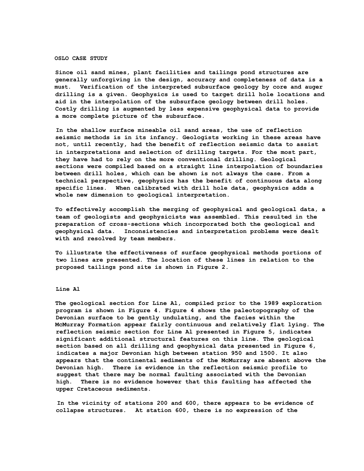### **OSLO CASE STUDY**

**Since oil sand mines, plant facilities and tailings pond structures are generally unforgiving in the design, accuracy and completeness of data is a must. Verification of the interpreted subsurface geology by core and auger drilling is a given. Geophysics is used to target drill hole locations and aid in the interpolation of the subsurface geology between drill holes. Costly drilling is augmented by less expensive geophysical data to provide a more complete picture of the subsurface.**

**In the shallow surface mineable oil sand areas, the use of reflection seismic methods is in its infancy. Geologists working in these areas have not, until recently, had the benefit of reflection seismic data to assist in interpretations and selection of drilling targets. For the most part, they have had to rely on the more conventional drilling. Geological sections were compiled based on a straight line interpolation of boundaries between drill holes, which can be shown is not always the case. From a technical perspective, geophysics has the benefit of continuous data along specific lines. When calibrated with drill hole data, geophysics adds a whole new dimension to geological interpretation.**

**To effectively accomplish the merging of geophysical and geological data, a team of geologists and geophysicists was assembled. This resulted in the preparation of cross-sections which incorporated both the geological and geophysical data. Inconsistencies and interpretation problems were dealt with and resolved by team members.**

**To illustrate the effectiveness of surface geophysical methods portions of two lines are presented. The location of these lines in relation to the proposed tailings pond site is shown in Figure 2.**

## **Line Al**

**The geological section for Line Al, compiled prior to the 1989 exploration program is shown in Figure 4. Figure 4 shows the paleotopography of the Devonian surface to be gently undulating, and the facies within the McMurray Formation appear fairly continuous and relatively flat lying. The reflection seismic section for Line Al presented in Figure 5, indicates significant additional structural features on this line. The geological section based on all drilling and geophysical data presented in Figure 6, indicates a major Devonian high between station 950 and 1500. It also appears that the continental sediments of the McMurray are absent above the Devonian high. There is evidence in the reflection seismic profile to suggest that there may be normal faulting associated with the Devonian high. There is no evidence however that this faulting has affected the upper Cretaceous sediments.**

**In the vicinity of stations 200 and 600, there appears to be evidence of collapse structures. At station 600, there is no expression of the**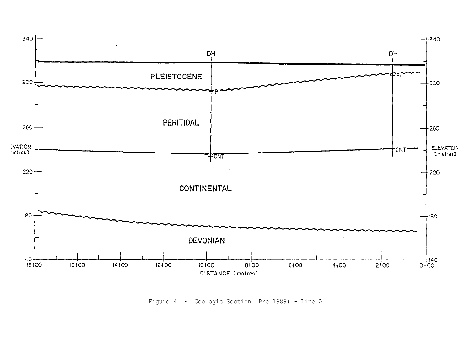

Figure 4 - Geologic Section (Pre 1989) - Line Al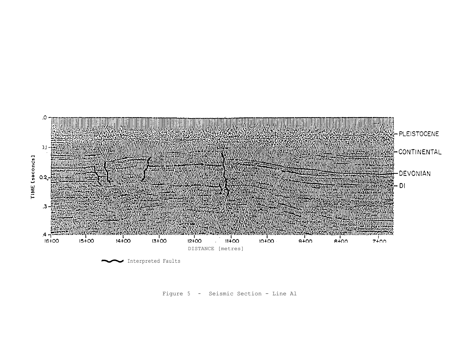

Figure 5 - Seismic Section - Line Al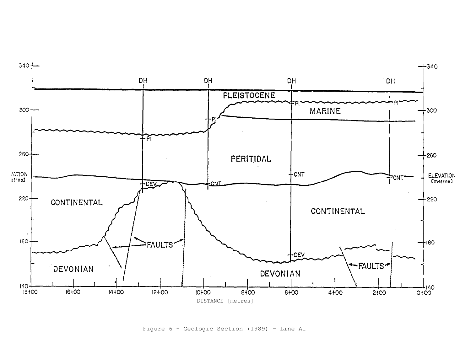

Figure 6 - Geologic Section (1989) - Line Al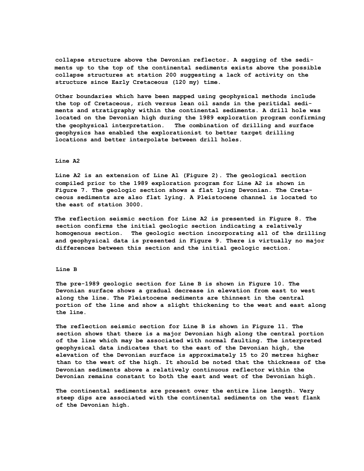**collapse structure above the Devonian reflector. A sagging of the sediments up to the top of the continental sediments exists above the possible collapse structures at station 200 suggesting a lack of activity on the structure since Early Cretaceous (120 my) time.**

**Other boundaries which have been mapped using geophysical methods include the top of Cretaceous, rich versus lean oil sands in the peritidal sediments and stratigraphy within the continental sediments. A drill hole was located on the Devonian high during the 1989 exploration program confirming the geophysical interpretation. The combination of drilling and surface geophysics has enabled the explorationist to better target drilling locations and better interpolate between drill holes.**

## **Line A2**

**Line A2 is an extension of Line Al (Figure 2). The geological section compiled prior to the 1989 exploration program for Line A2 is shown in Figure 7. The geologic section shows a flat lying Devonian. The Cretaceous sediments are also flat lying. A Pleistocene channel is located to the east of station 3000.**

**The reflection seismic section for Line A2 is presented in Figure 8. The section confirms the initial geologic section indicating a relatively homogenous section. The geologic section incorporating all of the drilling and geophysical data is presented in Figure 9. There is virtually no major differences between this section and the initial geologic section.**

#### **Line B**

**The pre-1989 geologic section for Line B is shown in Figure 10. The Devonian surface shows a gradual decrease in elevation from east to west along the line. The Pleistocene sediments are thinnest in the central portion of the line and show a slight thickening to the west and east along the line.**

**The reflection seismic section for Line B is shown in Figure 11. The section shows that there is a major Devonian high along the central portion of the line which may be associated with normal faulting. The interpreted geophysical data indicates that to the east of the Devonian high, the elevation of the Devonian surface is approximately 15 to 20 metres higher than to the west of the high. It should be noted that the thickness of the Devonian sediments above a relatively continuous reflector within the Devonian remains constant to both the east and west of the Devonian high.**

**The continental sediments are present over the entire line length. Very steep dips are associated with the continental sediments on the west flank of the Devonian high.**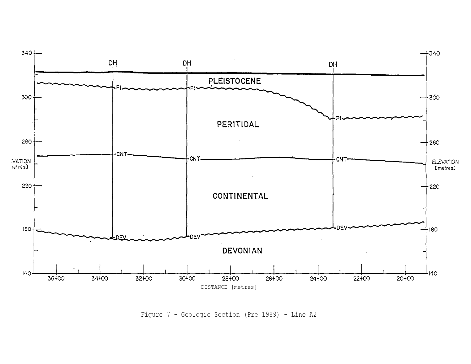

Figure 7 - Geologic Section (Pre 1989) - Line A2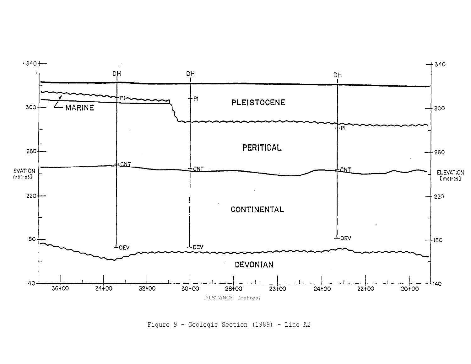

Figure 9 - Geologic Section (1989) - Line A2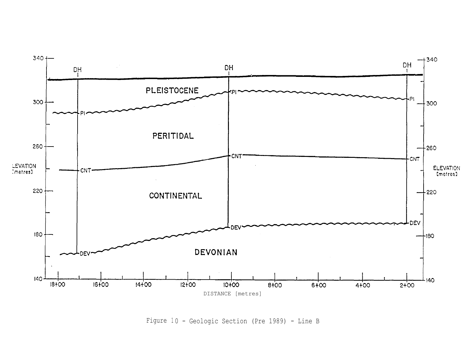![](_page_17_Figure_0.jpeg)

Figure 10 - Geologic Section (Pre 1989) - Line B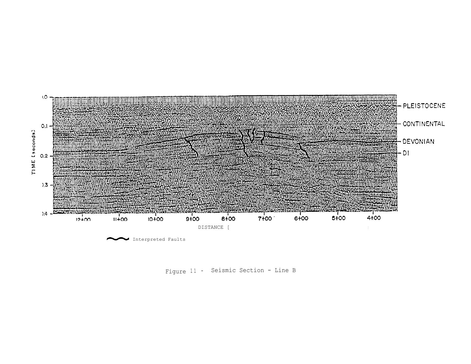![](_page_18_Figure_0.jpeg)

Figure 11 - Seismic Section - Line B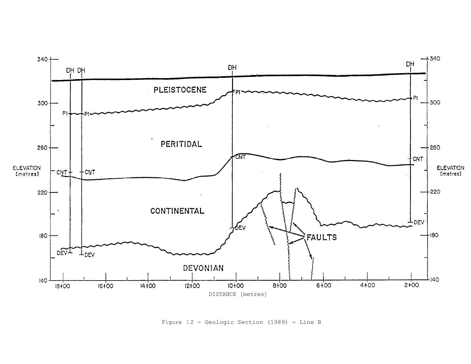![](_page_19_Figure_0.jpeg)

Figure 12 - Geologic Section (1989) - Line B